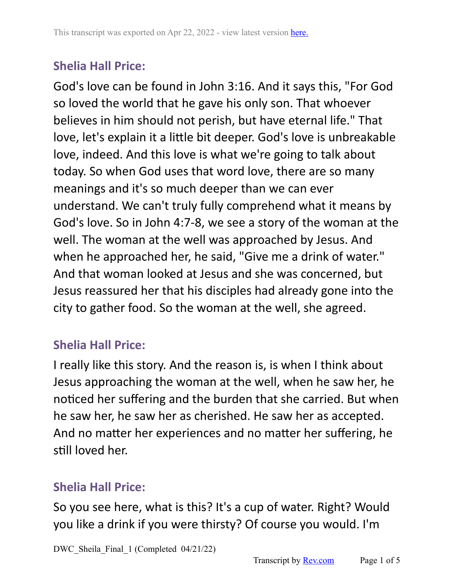God's love can be found in John 3:16. And it says this, "For God so loved the world that he gave his only son. That whoever believes in him should not perish, but have eternal life." That love, let's explain it a little bit deeper. God's love is unbreakable love, indeed. And this love is what we're going to talk about today. So when God uses that word love, there are so many meanings and it's so much deeper than we can ever understand. We can't truly fully comprehend what it means by God's love. So in John 4:7-8, we see a story of the woman at the well. The woman at the well was approached by Jesus. And when he approached her, he said, "Give me a drink of water." And that woman looked at Jesus and she was concerned, but Jesus reassured her that his disciples had already gone into the city to gather food. So the woman at the well, she agreed.

# **Shelia Hall Price:**

I really like this story. And the reason is, is when I think about Jesus approaching the woman at the well, when he saw her, he noticed her suffering and the burden that she carried. But when he saw her, he saw her as cherished. He saw her as accepted. And no matter her experiences and no matter her suffering, he still loved her.

### **Shelia Hall Price:**

So you see here, what is this? It's a cup of water. Right? Would you like a drink if you were thirsty? Of course you would. I'm

DWC Sheila Final 1 (Completed 04/21/22)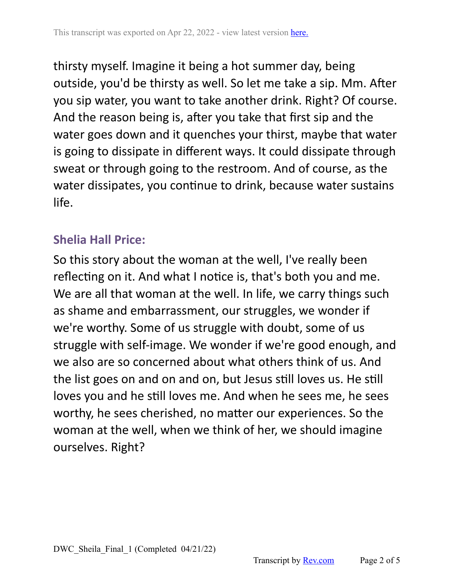thirsty myself. Imagine it being a hot summer day, being outside, you'd be thirsty as well. So let me take a sip. Mm. After you sip water, you want to take another drink. Right? Of course. And the reason being is, after you take that first sip and the water goes down and it quenches your thirst, maybe that water is going to dissipate in different ways. It could dissipate through sweat or through going to the restroom. And of course, as the water dissipates, you continue to drink, because water sustains life.

### **Shelia Hall Price:**

So this story about the woman at the well, I've really been reflecting on it. And what I notice is, that's both you and me. We are all that woman at the well. In life, we carry things such as shame and embarrassment, our struggles, we wonder if we're worthy. Some of us struggle with doubt, some of us struggle with self-image. We wonder if we're good enough, and we also are so concerned about what others think of us. And the list goes on and on and on, but Jesus still loves us. He still loves you and he still loves me. And when he sees me, he sees worthy, he sees cherished, no matter our experiences. So the woman at the well, when we think of her, we should imagine ourselves. Right?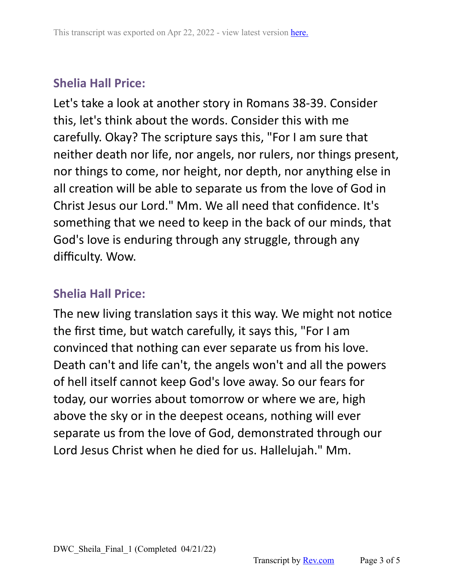Let's take a look at another story in Romans 38-39. Consider this, let's think about the words. Consider this with me carefully. Okay? The scripture says this, "For I am sure that neither death nor life, nor angels, nor rulers, nor things present, nor things to come, nor height, nor depth, nor anything else in all creation will be able to separate us from the love of God in Christ Jesus our Lord." Mm. We all need that confidence. It's something that we need to keep in the back of our minds, that God's love is enduring through any struggle, through any difficulty. Wow.

### **Shelia Hall Price:**

The new living translation says it this way. We might not notice the first time, but watch carefully, it says this, "For I am convinced that nothing can ever separate us from his love. Death can't and life can't, the angels won't and all the powers of hell itself cannot keep God's love away. So our fears for today, our worries about tomorrow or where we are, high above the sky or in the deepest oceans, nothing will ever separate us from the love of God, demonstrated through our Lord Jesus Christ when he died for us. Hallelujah." Mm.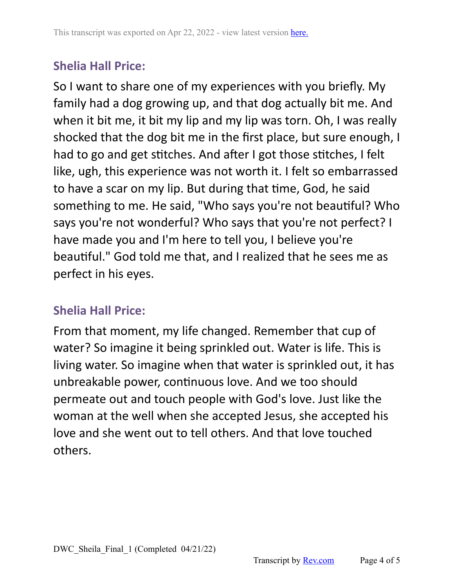So I want to share one of my experiences with you briefly. My family had a dog growing up, and that dog actually bit me. And when it bit me, it bit my lip and my lip was torn. Oh, I was really shocked that the dog bit me in the first place, but sure enough, I had to go and get stitches. And after I got those stitches, I felt like, ugh, this experience was not worth it. I felt so embarrassed to have a scar on my lip. But during that time, God, he said something to me. He said, "Who says you're not beautiful? Who says you're not wonderful? Who says that you're not perfect? I have made you and I'm here to tell you, I believe you're beautiful." God told me that, and I realized that he sees me as perfect in his eyes.

### **Shelia Hall Price:**

From that moment, my life changed. Remember that cup of water? So imagine it being sprinkled out. Water is life. This is living water. So imagine when that water is sprinkled out, it has unbreakable power, continuous love. And we too should permeate out and touch people with God's love. Just like the woman at the well when she accepted Jesus, she accepted his love and she went out to tell others. And that love touched others.